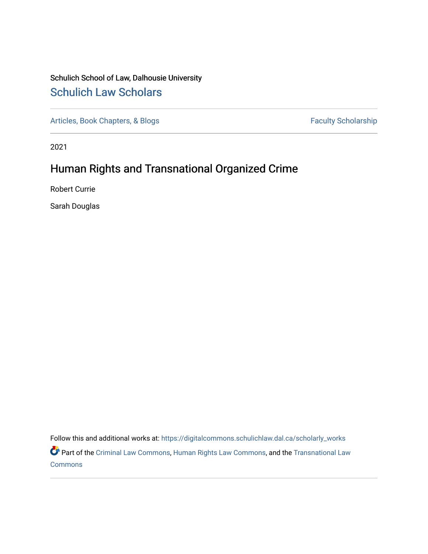# Schulich School of Law, Dalhousie University [Schulich Law Scholars](https://digitalcommons.schulichlaw.dal.ca/)

[Articles, Book Chapters, & Blogs](https://digitalcommons.schulichlaw.dal.ca/scholarly_works) Faculty Scholarship

2021

# Human Rights and Transnational Organized Crime

Robert Currie

Sarah Douglas

Follow this and additional works at: [https://digitalcommons.schulichlaw.dal.ca/scholarly\\_works](https://digitalcommons.schulichlaw.dal.ca/scholarly_works?utm_source=digitalcommons.schulichlaw.dal.ca%2Fscholarly_works%2F588&utm_medium=PDF&utm_campaign=PDFCoverPages) 

Part of the [Criminal Law Commons,](http://network.bepress.com/hgg/discipline/912?utm_source=digitalcommons.schulichlaw.dal.ca%2Fscholarly_works%2F588&utm_medium=PDF&utm_campaign=PDFCoverPages) [Human Rights Law Commons](http://network.bepress.com/hgg/discipline/847?utm_source=digitalcommons.schulichlaw.dal.ca%2Fscholarly_works%2F588&utm_medium=PDF&utm_campaign=PDFCoverPages), and the [Transnational Law](http://network.bepress.com/hgg/discipline/1123?utm_source=digitalcommons.schulichlaw.dal.ca%2Fscholarly_works%2F588&utm_medium=PDF&utm_campaign=PDFCoverPages)  **[Commons](http://network.bepress.com/hgg/discipline/1123?utm_source=digitalcommons.schulichlaw.dal.ca%2Fscholarly_works%2F588&utm_medium=PDF&utm_campaign=PDFCoverPages)**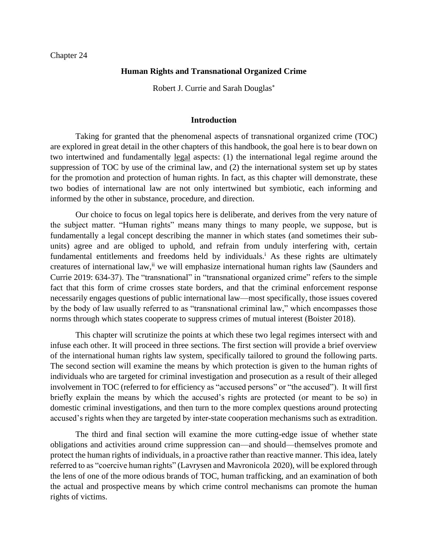#### **Human Rights and Transnational Organized Crime**

Robert J. Currie and Sarah Douglas

#### **Introduction**

Taking for granted that the phenomenal aspects of transnational organized crime (TOC) are explored in great detail in the other chapters of this handbook, the goal here is to bear down on two intertwined and fundamentally legal aspects: (1) the international legal regime around the suppression of TOC by use of the criminal law, and (2) the international system set up by states for the promotion and protection of human rights. In fact, as this chapter will demonstrate, these two bodies of international law are not only intertwined but symbiotic, each informing and informed by the other in substance, procedure, and direction.

Our choice to focus on legal topics here is deliberate, and derives from the very nature of the subject matter. "Human rights" means many things to many people, we suppose, but is fundamentally a legal concept describing the manner in which states (and sometimes their subunits) agree and are obliged to uphold, and refrain from unduly interfering with, certain fundamental entitlements and freedoms held by individuals.<sup>i</sup> As these rights are ultimately creatures of international law, ive will emphasize international human rights law (Saunders and Currie 2019: 634-37). The "transnational" in "transnational organized crime" refers to the simple fact that this form of crime crosses state borders, and that the criminal enforcement response necessarily engages questions of public international law—most specifically, those issues covered by the body of law usually referred to as "transnational criminal law," which encompasses those norms through which states cooperate to suppress crimes of mutual interest (Boister 2018).

This chapter will scrutinize the points at which these two legal regimes intersect with and infuse each other. It will proceed in three sections. The first section will provide a brief overview of the international human rights law system, specifically tailored to ground the following parts. The second section will examine the means by which protection is given to the human rights of individuals who are targeted for criminal investigation and prosecution as a result of their alleged involvement in TOC (referred to for efficiency as "accused persons" or "the accused"). It will first briefly explain the means by which the accused's rights are protected (or meant to be so) in domestic criminal investigations, and then turn to the more complex questions around protecting accused's rights when they are targeted by inter-state cooperation mechanisms such as extradition.

The third and final section will examine the more cutting-edge issue of whether state obligations and activities around crime suppression can—and should—themselves promote and protect the human rights of individuals, in a proactive rather than reactive manner. This idea, lately referred to as "coercive human rights" (Lavrysen and Mavronicola 2020), will be explored through the lens of one of the more odious brands of TOC, human trafficking, and an examination of both the actual and prospective means by which crime control mechanisms can promote the human rights of victims.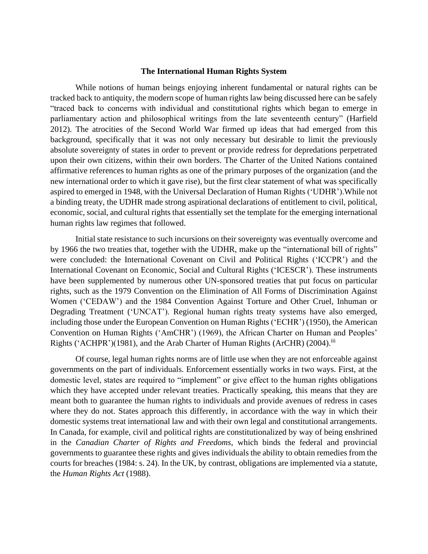#### **The International Human Rights System**

While notions of human beings enjoying inherent fundamental or natural rights can be tracked back to antiquity, the modern scope of human rights law being discussed here can be safely "traced back to concerns with individual and constitutional rights which began to emerge in parliamentary action and philosophical writings from the late seventeenth century" (Harfield 2012). The atrocities of the Second World War firmed up ideas that had emerged from this background, specifically that it was not only necessary but desirable to limit the previously absolute sovereignty of states in order to prevent or provide redress for depredations perpetrated upon their own citizens, within their own borders. The Charter of the United Nations contained affirmative references to human rights as one of the primary purposes of the organization (and the new international order to which it gave rise), but the first clear statement of what was specifically aspired to emerged in 1948, with the Universal Declaration of Human Rights ('UDHR').While not a binding treaty, the UDHR made strong aspirational declarations of entitlement to civil, political, economic, social, and cultural rights that essentially set the template for the emerging international human rights law regimes that followed.

Initial state resistance to such incursions on their sovereignty was eventually overcome and by 1966 the two treaties that, together with the UDHR, make up the "international bill of rights" were concluded: the International Covenant on Civil and Political Rights ('ICCPR') and the International Covenant on Economic, Social and Cultural Rights ('ICESCR'). These instruments have been supplemented by numerous other UN-sponsored treaties that put focus on particular rights, such as the 1979 Convention on the Elimination of All Forms of Discrimination Against Women ('CEDAW') and the 1984 Convention Against Torture and Other Cruel, Inhuman or Degrading Treatment ('UNCAT'). Regional human rights treaty systems have also emerged, including those under the European Convention on Human Rights ('ECHR') (1950), the American Convention on Human Rights ('AmCHR') (1969), the African Charter on Human and Peoples' Rights ('ACHPR')(1981), and the Arab Charter of Human Rights (ArCHR) (2004).<sup>iii</sup>

Of course, legal human rights norms are of little use when they are not enforceable against governments on the part of individuals. Enforcement essentially works in two ways. First, at the domestic level, states are required to "implement" or give effect to the human rights obligations which they have accepted under relevant treaties. Practically speaking, this means that they are meant both to guarantee the human rights to individuals and provide avenues of redress in cases where they do not. States approach this differently, in accordance with the way in which their domestic systems treat international law and with their own legal and constitutional arrangements. In Canada, for example, civil and political rights are constitutionalized by way of being enshrined in the *Canadian Charter of Rights and Freedoms*, which binds the federal and provincial governments to guarantee these rights and gives individuals the ability to obtain remedies from the courts for breaches (1984: s. 24). In the UK, by contrast, obligations are implemented via a statute, the *Human Rights Act* (1988).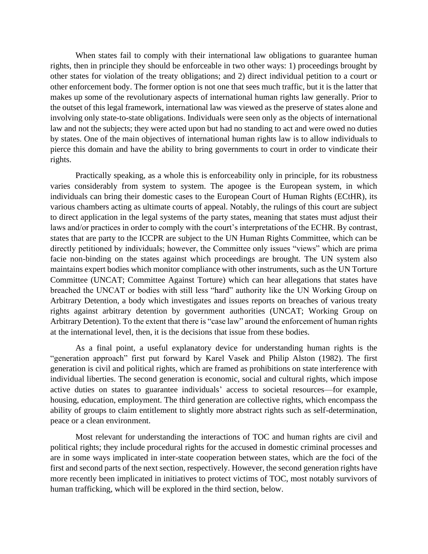When states fail to comply with their international law obligations to guarantee human rights, then in principle they should be enforceable in two other ways: 1) proceedings brought by other states for violation of the treaty obligations; and 2) direct individual petition to a court or other enforcement body. The former option is not one that sees much traffic, but it is the latter that makes up some of the revolutionary aspects of international human rights law generally. Prior to the outset of this legal framework, international law was viewed as the preserve of states alone and involving only state-to-state obligations. Individuals were seen only as the objects of international law and not the subjects; they were acted upon but had no standing to act and were owed no duties by states. One of the main objectives of international human rights law is to allow individuals to pierce this domain and have the ability to bring governments to court in order to vindicate their rights.

Practically speaking, as a whole this is enforceability only in principle, for its robustness varies considerably from system to system. The apogee is the European system, in which individuals can bring their domestic cases to the European Court of Human Rights (ECtHR), its various chambers acting as ultimate courts of appeal. Notably, the rulings of this court are subject to direct application in the legal systems of the party states, meaning that states must adjust their laws and/or practices in order to comply with the court's interpretations of the ECHR. By contrast, states that are party to the ICCPR are subject to the UN Human Rights Committee, which can be directly petitioned by individuals; however, the Committee only issues "views" which are prima facie non-binding on the states against which proceedings are brought. The UN system also maintains expert bodies which monitor compliance with other instruments, such as the UN Torture Committee (UNCAT; Committee Against Torture) which can hear allegations that states have breached the UNCAT or bodies with still less "hard" authority like the UN Working Group on Arbitrary Detention, a body which investigates and issues reports on breaches of various treaty rights against arbitrary detention by government authorities (UNCAT; Working Group on Arbitrary Detention). To the extent that there is "case law" around the enforcement of human rights at the international level, then, it is the decisions that issue from these bodies.

As a final point, a useful explanatory device for understanding human rights is the "generation approach" first put forward by Karel Vasek and Philip Alston (1982). The first generation is civil and political rights, which are framed as prohibitions on state interference with individual liberties. The second generation is economic, social and cultural rights, which impose active duties on states to guarantee individuals' access to societal resources—for example, housing, education, employment. The third generation are collective rights, which encompass the ability of groups to claim entitlement to slightly more abstract rights such as self-determination, peace or a clean environment.

Most relevant for understanding the interactions of TOC and human rights are civil and political rights; they include procedural rights for the accused in domestic criminal processes and are in some ways implicated in inter-state cooperation between states, which are the foci of the first and second parts of the next section, respectively. However, the second generation rights have more recently been implicated in initiatives to protect victims of TOC, most notably survivors of human trafficking, which will be explored in the third section, below.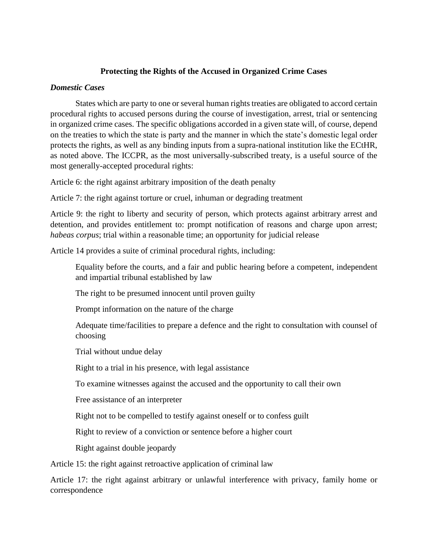#### **Protecting the Rights of the Accused in Organized Crime Cases**

#### *Domestic Cases*

States which are party to one or several human rights treaties are obligated to accord certain procedural rights to accused persons during the course of investigation, arrest, trial or sentencing in organized crime cases. The specific obligations accorded in a given state will, of course, depend on the treaties to which the state is party and the manner in which the state's domestic legal order protects the rights, as well as any binding inputs from a supra-national institution like the ECtHR, as noted above. The ICCPR, as the most universally-subscribed treaty, is a useful source of the most generally-accepted procedural rights:

Article 6: the right against arbitrary imposition of the death penalty

Article 7: the right against torture or cruel, inhuman or degrading treatment

Article 9: the right to liberty and security of person, which protects against arbitrary arrest and detention, and provides entitlement to: prompt notification of reasons and charge upon arrest; *habeas corpus*; trial within a reasonable time; an opportunity for judicial release

Article 14 provides a suite of criminal procedural rights, including:

Equality before the courts, and a fair and public hearing before a competent, independent and impartial tribunal established by law

The right to be presumed innocent until proven guilty

Prompt information on the nature of the charge

Adequate time/facilities to prepare a defence and the right to consultation with counsel of choosing

Trial without undue delay

Right to a trial in his presence, with legal assistance

To examine witnesses against the accused and the opportunity to call their own

Free assistance of an interpreter

Right not to be compelled to testify against oneself or to confess guilt

Right to review of a conviction or sentence before a higher court

Right against double jeopardy

Article 15: the right against retroactive application of criminal law

Article 17: the right against arbitrary or unlawful interference with privacy, family home or correspondence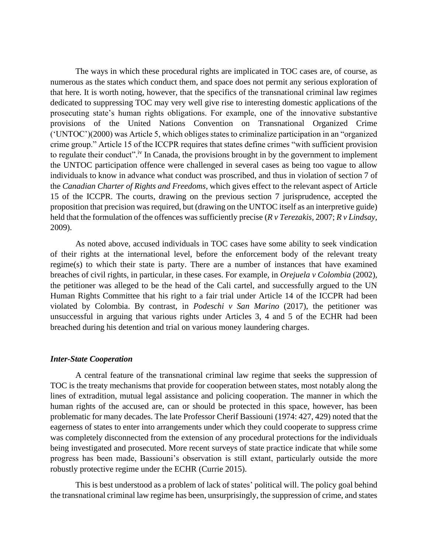The ways in which these procedural rights are implicated in TOC cases are, of course, as numerous as the states which conduct them, and space does not permit any serious exploration of that here. It is worth noting, however, that the specifics of the transnational criminal law regimes dedicated to suppressing TOC may very well give rise to interesting domestic applications of the prosecuting state's human rights obligations. For example, one of the innovative substantive provisions of the United Nations Convention on Transnational Organized Crime ('UNTOC')(2000) was Article 5, which obliges states to criminalize participation in an "organized crime group." Article 15 of the ICCPR requires that states define crimes "with sufficient provision to regulate their conduct".<sup>iv</sup> In Canada, the provisions brought in by the government to implement the UNTOC participation offence were challenged in several cases as being too vague to allow individuals to know in advance what conduct was proscribed, and thus in violation of section 7 of the *Canadian Charter of Rights and Freedoms*, which gives effect to the relevant aspect of Article 15 of the ICCPR. The courts, drawing on the previous section 7 jurisprudence, accepted the proposition that precision was required, but (drawing on the UNTOC itself as an interpretive guide) held that the formulation of the offences was sufficiently precise (*R v Terezakis,* 2007; *R v Lindsay,*  2009).

As noted above, accused individuals in TOC cases have some ability to seek vindication of their rights at the international level, before the enforcement body of the relevant treaty regime(s) to which their state is party. There are a number of instances that have examined breaches of civil rights, in particular, in these cases. For example, in *Orejuela v Colombia* (2002), the petitioner was alleged to be the head of the Cali cartel, and successfully argued to the UN Human Rights Committee that his right to a fair trial under Article 14 of the ICCPR had been violated by Colombia. By contrast, in *Podeschi v San Marino* (2017), the petitioner was unsuccessful in arguing that various rights under Articles 3, 4 and 5 of the ECHR had been breached during his detention and trial on various money laundering charges.

#### *Inter-State Cooperation*

A central feature of the transnational criminal law regime that seeks the suppression of TOC is the treaty mechanisms that provide for cooperation between states, most notably along the lines of extradition, mutual legal assistance and policing cooperation. The manner in which the human rights of the accused are, can or should be protected in this space, however, has been problematic for many decades. The late Professor Cherif Bassiouni (1974: 427, 429) noted that the eagerness of states to enter into arrangements under which they could cooperate to suppress crime was completely disconnected from the extension of any procedural protections for the individuals being investigated and prosecuted. More recent surveys of state practice indicate that while some progress has been made, Bassiouni's observation is still extant, particularly outside the more robustly protective regime under the ECHR (Currie 2015).

This is best understood as a problem of lack of states' political will. The policy goal behind the transnational criminal law regime has been, unsurprisingly, the suppression of crime, and states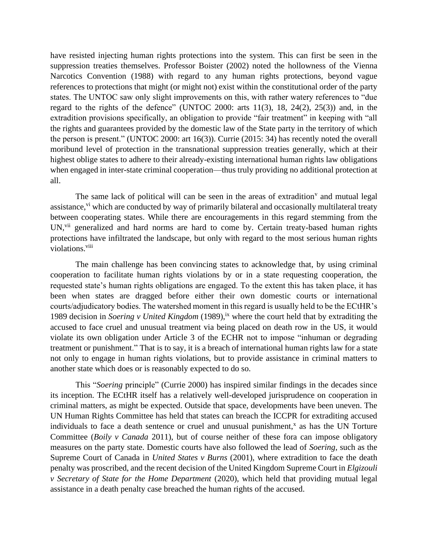have resisted injecting human rights protections into the system. This can first be seen in the suppression treaties themselves. Professor Boister (2002) noted the hollowness of the Vienna Narcotics Convention (1988) with regard to any human rights protections, beyond vague references to protections that might (or might not) exist within the constitutional order of the party states. The UNTOC saw only slight improvements on this, with rather watery references to "due regard to the rights of the defence" (UNTOC 2000: arts  $11(3)$ ,  $18$ ,  $24(2)$ ,  $25(3)$ ) and, in the extradition provisions specifically, an obligation to provide "fair treatment" in keeping with "all the rights and guarantees provided by the domestic law of the State party in the territory of which the person is present." (UNTOC 2000: art 16(3)). Currie (2015: 34) has recently noted the overall moribund level of protection in the transnational suppression treaties generally, which at their highest oblige states to adhere to their already-existing international human rights law obligations when engaged in inter-state criminal cooperation—thus truly providing no additional protection at all.

The same lack of political will can be seen in the areas of extradition<sup>v</sup> and mutual legal assistance, v<sup>i</sup> which are conducted by way of primarily bilateral and occasionally multilateral treaty between cooperating states. While there are encouragements in this regard stemming from the UN,<sup>vii</sup> generalized and hard norms are hard to come by. Certain treaty-based human rights protections have infiltrated the landscape, but only with regard to the most serious human rights violations.<sup>viii</sup>

The main challenge has been convincing states to acknowledge that, by using criminal cooperation to facilitate human rights violations by or in a state requesting cooperation, the requested state's human rights obligations are engaged. To the extent this has taken place, it has been when states are dragged before either their own domestic courts or international courts/adjudicatory bodies. The watershed moment in this regard is usually held to be the ECtHR's 1989 decision in *Soering v United Kingdom* (1989),<sup>ix</sup> where the court held that by extraditing the accused to face cruel and unusual treatment via being placed on death row in the US, it would violate its own obligation under Article 3 of the ECHR not to impose "inhuman or degrading treatment or punishment." That is to say, it is a breach of international human rights law for a state not only to engage in human rights violations, but to provide assistance in criminal matters to another state which does or is reasonably expected to do so.

This "*Soering* principle" (Currie 2000) has inspired similar findings in the decades since its inception. The ECtHR itself has a relatively well-developed jurisprudence on cooperation in criminal matters, as might be expected. Outside that space, developments have been uneven. The UN Human Rights Committee has held that states can breach the ICCPR for extraditing accused individuals to face a death sentence or cruel and unusual punishment, $^x$  as has the UN Torture Committee (*Boily v Canada* 2011), but of course neither of these fora can impose obligatory measures on the party state. Domestic courts have also followed the lead of *Soering*, such as the Supreme Court of Canada in *United States v Burns* (2001), where extradition to face the death penalty was proscribed, and the recent decision of the United Kingdom Supreme Court in *Elgizouli v Secretary of State for the Home Department* (2020), which held that providing mutual legal assistance in a death penalty case breached the human rights of the accused.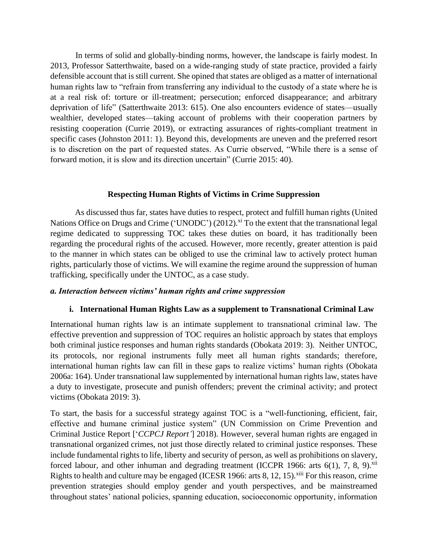In terms of solid and globally-binding norms, however, the landscape is fairly modest. In 2013, Professor Satterthwaite, based on a wide-ranging study of state practice, provided a fairly defensible account that is still current. She opined that states are obliged as a matter of international human rights law to "refrain from transferring any individual to the custody of a state where he is at a real risk of: torture or ill-treatment; persecution; enforced disappearance; and arbitrary deprivation of life" (Satterthwaite 2013: 615). One also encounters evidence of states—usually wealthier, developed states—taking account of problems with their cooperation partners by resisting cooperation (Currie 2019), or extracting assurances of rights-compliant treatment in specific cases (Johnston 2011: 1). Beyond this, developments are uneven and the preferred resort is to discretion on the part of requested states. As Currie observed, "While there is a sense of forward motion, it is slow and its direction uncertain" (Currie 2015: 40).

#### **Respecting Human Rights of Victims in Crime Suppression**

As discussed thus far, states have duties to respect, protect and fulfill human rights (United Nations Office on Drugs and Crime ('UNODC') (2012).<sup>xi</sup> To the extent that the transnational legal regime dedicated to suppressing TOC takes these duties on board, it has traditionally been regarding the procedural rights of the accused. However, more recently, greater attention is paid to the manner in which states can be obliged to use the criminal law to actively protect human rights, particularly those of victims. We will examine the regime around the suppression of human trafficking, specifically under the UNTOC, as a case study.

#### *a. Interaction between victims' human rights and crime suppression*

## **i. International Human Rights Law as a supplement to Transnational Criminal Law**

International human rights law is an intimate supplement to transnational criminal law. The effective prevention and suppression of TOC requires an holistic approach by states that employs both criminal justice responses and human rights standards (Obokata 2019: 3). Neither UNTOC, its protocols, nor regional instruments fully meet all human rights standards; therefore, international human rights law can fill in these gaps to realize victims' human rights (Obokata 2006a: 164). Under transnational law supplemented by international human rights law, states have a duty to investigate, prosecute and punish offenders; prevent the criminal activity; and protect victims (Obokata 2019: 3).

To start, the basis for a successful strategy against TOC is a "well-functioning, efficient, fair, effective and humane criminal justice system" (UN Commission on Crime Prevention and Criminal Justice Report ['*CCPCJ Report'*] 2018). However, several human rights are engaged in transnational organized crimes, not just those directly related to criminal justice responses. These include fundamental rights to life, liberty and security of person, as well as prohibitions on slavery, forced labour, and other inhuman and degrading treatment (ICCPR 1966: arts 6(1), 7, 8, 9). $^{xii}$ Rights to health and culture may be engaged (ICESR 1966: arts 8, 12, 15).<sup>xiii</sup> For this reason, crime prevention strategies should employ gender and youth perspectives, and be mainstreamed throughout states' national policies, spanning education, socioeconomic opportunity, information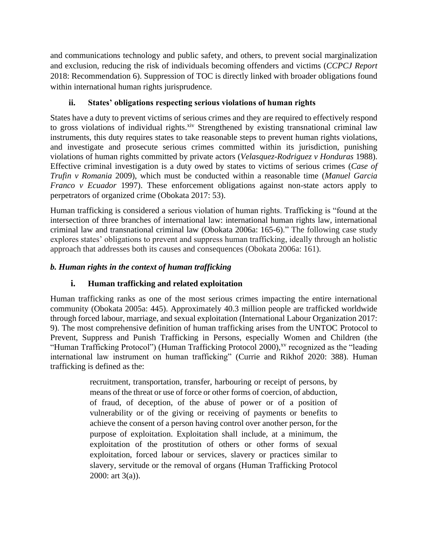and communications technology and public safety, and others, to prevent social marginalization and exclusion, reducing the risk of individuals becoming offenders and victims (*CCPCJ Report* 2018: Recommendation 6). Suppression of TOC is directly linked with broader obligations found within international human rights jurisprudence.

## **ii. States' obligations respecting serious violations of human rights**

States have a duty to prevent victims of serious crimes and they are required to effectively respond to gross violations of individual rights.<sup>xiv</sup> Strengthened by existing transnational criminal law instruments, this duty requires states to take reasonable steps to prevent human rights violations, and investigate and prosecute serious crimes committed within its jurisdiction, punishing violations of human rights committed by private actors (*Velasquez-Rodriguez v Honduras* 1988). Effective criminal investigation is a duty owed by states to victims of serious crimes (*Case of Trufin v Romania* 2009), which must be conducted within a reasonable time (*Manuel Garcia Franco v Ecuador* 1997). These enforcement obligations against non-state actors apply to perpetrators of organized crime (Obokata 2017: 53).

Human trafficking is considered a serious violation of human rights. Trafficking is "found at the intersection of three branches of international law: international human rights law, international criminal law and transnational criminal law (Obokata 2006a: 165-6)." The following case study explores states' obligations to prevent and suppress human trafficking, ideally through an holistic approach that addresses both its causes and consequences (Obokata 2006a: 161).

## *b. Human rights in the context of human trafficking*

## **i. Human trafficking and related exploitation**

Human trafficking ranks as one of the most serious crimes impacting the entire international community (Obokata 2005a: 445). Approximately 40.3 million people are trafficked worldwide through forced labour, marriage, and sexual exploitation (International Labour Organization 2017: 9). The most comprehensive definition of human trafficking arises from the UNTOC Protocol to Prevent, Suppress and Punish Trafficking in Persons, especially Women and Children (the "Human Trafficking Protocol") (Human Trafficking Protocol 2000),<sup>xv</sup> recognized as the "leading international law instrument on human trafficking" (Currie and Rikhof 2020: 388). Human trafficking is defined as the:

> recruitment, transportation, transfer, harbouring or receipt of persons, by means of the threat or use of force or other forms of coercion, of abduction, of fraud, of deception, of the abuse of power or of a position of vulnerability or of the giving or receiving of payments or benefits to achieve the consent of a person having control over another person, for the purpose of exploitation. Exploitation shall include, at a minimum, the exploitation of the prostitution of others or other forms of sexual exploitation, forced labour or services, slavery or practices similar to slavery, servitude or the removal of organs (Human Trafficking Protocol  $2000$ : art  $3(a)$ ).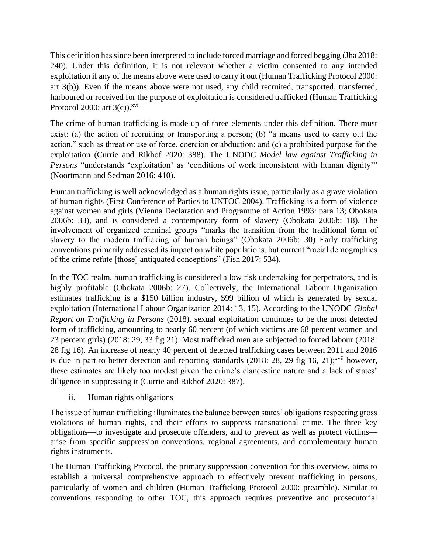This definition has since been interpreted to include forced marriage and forced begging (Jha 2018: 240). Under this definition, it is not relevant whether a victim consented to any intended exploitation if any of the means above were used to carry it out (Human Trafficking Protocol 2000: art 3(b)). Even if the means above were not used, any child recruited, transported, transferred, harboured or received for the purpose of exploitation is considered trafficked (Human Trafficking Protocol 2000: art  $3(c)$ ).<sup>xvi</sup>

The crime of human trafficking is made up of three elements under this definition. There must exist: (a) the action of recruiting or transporting a person; (b) "a means used to carry out the action," such as threat or use of force, coercion or abduction; and (c) a prohibited purpose for the exploitation (Currie and Rikhof 2020: 388). The UNODC *Model law against Trafficking in Persons* "understands 'exploitation' as 'conditions of work inconsistent with human dignity'" (Noortmann and Sedman 2016: 410).

Human trafficking is well acknowledged as a human rights issue, particularly as a grave violation of human rights (First Conference of Parties to UNTOC 2004). Trafficking is a form of violence against women and girls (Vienna Declaration and Programme of Action 1993: para 13; Obokata 2006b: 33), and is considered a contemporary form of slavery (Obokata 2006b: 18). The involvement of organized criminal groups "marks the transition from the traditional form of slavery to the modern trafficking of human beings" (Obokata 2006b: 30) Early trafficking conventions primarily addressed its impact on white populations, but current "racial demographics of the crime refute [those] antiquated conceptions" (Fish 2017: 534).

In the TOC realm, human trafficking is considered a low risk undertaking for perpetrators, and is highly profitable (Obokata 2006b: 27). Collectively, the International Labour Organization estimates trafficking is a \$150 billion industry, \$99 billion of which is generated by sexual exploitation (International Labour Organization 2014: 13, 15). According to the UNODC *Global Report on Trafficking in Persons* (2018), sexual exploitation continues to be the most detected form of trafficking, amounting to nearly 60 percent (of which victims are 68 percent women and 23 percent girls) (2018: 29, 33 fig 21). Most trafficked men are subjected to forced labour (2018: 28 fig 16). An increase of nearly 40 percent of detected trafficking cases between 2011 and 2016 is due in part to better detection and reporting standards  $(2018: 28, 29$  fig 16, 21);<sup>xvii</sup> however, these estimates are likely too modest given the crime's clandestine nature and a lack of states' diligence in suppressing it (Currie and Rikhof 2020: 387).

ii. Human rights obligations

The issue of human trafficking illuminates the balance between states' obligations respecting gross violations of human rights, and their efforts to suppress transnational crime. The three key obligations—to investigate and prosecute offenders, and to prevent as well as protect victims arise from specific suppression conventions, regional agreements, and complementary human rights instruments.

The Human Trafficking Protocol, the primary suppression convention for this overview, aims to establish a universal comprehensive approach to effectively prevent trafficking in persons, particularly of women and children (Human Trafficking Protocol 2000: preamble). Similar to conventions responding to other TOC, this approach requires preventive and prosecutorial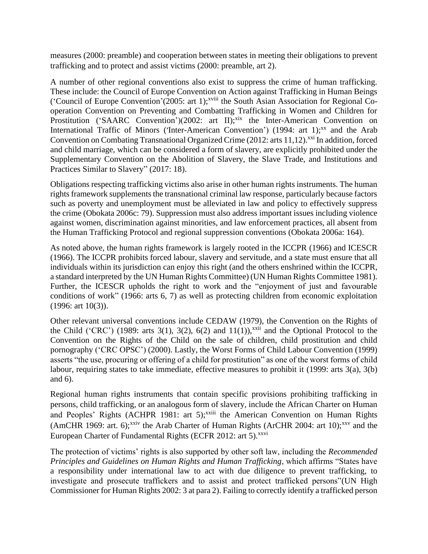measures (2000: preamble) and cooperation between states in meeting their obligations to prevent trafficking and to protect and assist victims (2000: preamble, art 2).

A number of other regional conventions also exist to suppress the crime of human trafficking. These include: the Council of Europe Convention on Action against Trafficking in Human Beings ('Council of Europe Convention'(2005: art 1);xviii the South Asian Association for Regional Cooperation Convention on Preventing and Combatting Trafficking in Women and Children for Prostitution ('SAARC Convention')(2002: art II);<sup>xix</sup> the Inter-American Convention on International Traffic of Minors ('Inter-American Convention') (1994: art 1);<sup>xx</sup> and the Arab Convention on Combating Transnational Organized Crime (2012: arts 11,12).<sup>xxi</sup> In addition, forced and child marriage, which can be considered a form of slavery, are explicitly prohibited under the Supplementary Convention on the Abolition of Slavery, the Slave Trade, and Institutions and Practices Similar to Slavery" (2017: 18).

Obligations respecting trafficking victims also arise in other human rights instruments. The human rights framework supplements the transnational criminal law response, particularly because factors such as poverty and unemployment must be alleviated in law and policy to effectively suppress the crime (Obokata 2006c: 79). Suppression must also address important issues including violence against women, discrimination against minorities, and law enforcement practices, all absent from the Human Trafficking Protocol and regional suppression conventions (Obokata 2006a: 164).

As noted above, the human rights framework is largely rooted in the ICCPR (1966) and ICESCR (1966). The ICCPR prohibits forced labour, slavery and servitude, and a state must ensure that all individuals within its jurisdiction can enjoy this right (and the others enshrined within the ICCPR, a standard interpreted by the UN Human Rights Committee) (UN Human Rights Committee 1981). Further, the ICESCR upholds the right to work and the "enjoyment of just and favourable conditions of work" (1966: arts 6, 7) as well as protecting children from economic exploitation (1996: art 10(3)).

Other relevant universal conventions include CEDAW (1979), the Convention on the Rights of the Child ('CRC') (1989: arts 3(1), 3(2), 6(2) and 11(1)),<sup>xxii</sup> and the Optional Protocol to the Convention on the Rights of the Child on the sale of children, child prostitution and child pornography ('CRC OPSC') (2000). Lastly, the Worst Forms of Child Labour Convention (1999) asserts "the use, procuring or offering of a child for prostitution" as one of the worst forms of child labour, requiring states to take immediate, effective measures to prohibit it (1999: arts 3(a), 3(b) and 6).

Regional human rights instruments that contain specific provisions prohibiting trafficking in persons, child trafficking, or an analogous form of slavery, include the African Charter on Human and Peoples' Rights (ACHPR 1981: art 5);<sup>xxiii</sup> the American Convention on Human Rights (AmCHR 1969: art. 6);<sup>xxiv</sup> the Arab Charter of Human Rights (ArCHR 2004: art 10);<sup>xxv</sup> and the European Charter of Fundamental Rights (ECFR 2012: art 5).<sup>xxvi</sup>

The protection of victims' rights is also supported by other soft law, including the *Recommended Principles and Guidelines on Human Rights and Human Trafficking*, which affirms "States have a responsibility under international law to act with due diligence to prevent trafficking, to investigate and prosecute traffickers and to assist and protect trafficked persons"(UN High Commissioner for Human Rights 2002: 3 at para 2). Failing to correctly identify a trafficked person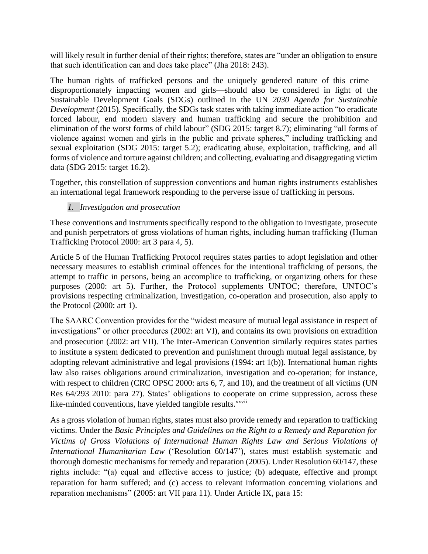will likely result in further denial of their rights; therefore, states are "under an obligation to ensure that such identification can and does take place" (Jha 2018: 243).

The human rights of trafficked persons and the uniquely gendered nature of this crime disproportionately impacting women and girls—should also be considered in light of the Sustainable Development Goals (SDGs) outlined in the UN *2030 Agenda for Sustainable Development* (2015). Specifically, the SDGs task states with taking immediate action "to eradicate forced labour, end modern slavery and human trafficking and secure the prohibition and elimination of the worst forms of child labour" (SDG 2015: target 8.7); eliminating "all forms of violence against women and girls in the public and private spheres," including trafficking and sexual exploitation (SDG 2015: target 5.2); eradicating abuse, exploitation, trafficking, and all forms of violence and torture against children; and collecting, evaluating and disaggregating victim data (SDG 2015: target 16.2).

Together, this constellation of suppression conventions and human rights instruments establishes an international legal framework responding to the perverse issue of trafficking in persons.

## *1. Investigation and prosecution*

These conventions and instruments specifically respond to the obligation to investigate, prosecute and punish perpetrators of gross violations of human rights, including human trafficking (Human Trafficking Protocol 2000: art 3 para 4, 5).

Article 5 of the Human Trafficking Protocol requires states parties to adopt legislation and other necessary measures to establish criminal offences for the intentional trafficking of persons, the attempt to traffic in persons, being an accomplice to trafficking, or organizing others for these purposes (2000: art 5). Further, the Protocol supplements UNTOC; therefore, UNTOC's provisions respecting criminalization, investigation, co-operation and prosecution, also apply to the Protocol (2000: art 1).

The SAARC Convention provides for the "widest measure of mutual legal assistance in respect of investigations" or other procedures (2002: art VI), and contains its own provisions on extradition and prosecution (2002: art VII). The Inter-American Convention similarly requires states parties to institute a system dedicated to prevention and punishment through mutual legal assistance, by adopting relevant administrative and legal provisions (1994: art 1(b)). International human rights law also raises obligations around criminalization, investigation and co-operation; for instance, with respect to children (CRC OPSC 2000: arts 6, 7, and 10), and the treatment of all victims (UN Res 64/293 2010: para 27). States' obligations to cooperate on crime suppression, across these like-minded conventions, have yielded tangible results.<sup>xxvii</sup>

As a gross violation of human rights, states must also provide remedy and reparation to trafficking victims. Under the *Basic Principles and Guidelines on the Right to a Remedy and Reparation for Victims of Gross Violations of International Human Rights Law and Serious Violations of International Humanitarian Law* ('Resolution 60/147'), states must establish systematic and thorough domestic mechanisms for remedy and reparation (2005). Under Resolution 60/147, these rights include: "(a) equal and effective access to justice; (b) adequate, effective and prompt reparation for harm suffered; and (c) access to relevant information concerning violations and reparation mechanisms" (2005: art VII para 11). Under Article IX, para 15: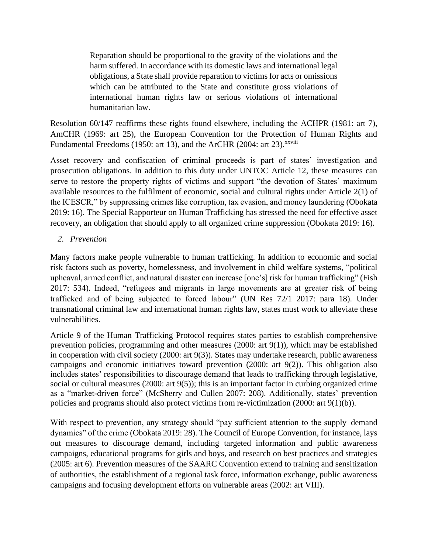Reparation should be proportional to the gravity of the violations and the harm suffered. In accordance with its domestic laws and international legal obligations, a State shall provide reparation to victims for acts or omissions which can be attributed to the State and constitute gross violations of international human rights law or serious violations of international humanitarian law.

Resolution 60/147 reaffirms these rights found elsewhere, including the ACHPR (1981: art 7), AmCHR (1969: art 25), the European Convention for the Protection of Human Rights and Fundamental Freedoms (1950: art 13), and the ArCHR (2004: art 23).<sup>xxviii</sup>

Asset recovery and confiscation of criminal proceeds is part of states' investigation and prosecution obligations. In addition to this duty under UNTOC Article 12, these measures can serve to restore the property rights of victims and support "the devotion of States' maximum available resources to the fulfilment of economic, social and cultural rights under Article 2(1) of the ICESCR," by suppressing crimes like corruption, tax evasion, and money laundering (Obokata 2019: 16). The Special Rapporteur on Human Trafficking has stressed the need for effective asset recovery, an obligation that should apply to all organized crime suppression (Obokata 2019: 16).

## *2. Prevention*

Many factors make people vulnerable to human trafficking. In addition to economic and social risk factors such as poverty, homelessness, and involvement in child welfare systems, "political upheaval, armed conflict, and natural disaster can increase [one's] risk for human trafficking" (Fish 2017: 534). Indeed, "refugees and migrants in large movements are at greater risk of being trafficked and of being subjected to forced labour" (UN Res 72/1 2017: para 18). Under transnational criminal law and international human rights law, states must work to alleviate these vulnerabilities.

Article 9 of the Human Trafficking Protocol requires states parties to establish comprehensive prevention policies, programming and other measures (2000: art 9(1)), which may be established in cooperation with civil society (2000: art 9(3)). States may undertake research, public awareness campaigns and economic initiatives toward prevention (2000: art 9(2)). This obligation also includes states' responsibilities to discourage demand that leads to trafficking through legislative, social or cultural measures (2000: art 9(5)); this is an important factor in curbing organized crime as a "market-driven force" (McSherry and Cullen 2007: 208). Additionally, states' prevention policies and programs should also protect victims from re-victimization (2000: art 9(1)(b)).

With respect to prevention, any strategy should "pay sufficient attention to the supply–demand dynamics" of the crime (Obokata 2019: 28). The Council of Europe Convention, for instance, lays out measures to discourage demand, including targeted information and public awareness campaigns, educational programs for girls and boys, and research on best practices and strategies (2005: art 6). Prevention measures of the SAARC Convention extend to training and sensitization of authorities, the establishment of a regional task force, information exchange, public awareness campaigns and focusing development efforts on vulnerable areas (2002: art VIII).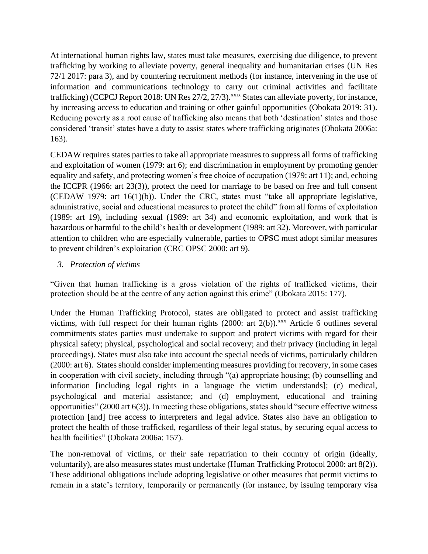At international human rights law, states must take measures, exercising due diligence, to prevent trafficking by working to alleviate poverty, general inequality and humanitarian crises (UN Res 72/1 2017: para 3), and by countering recruitment methods (for instance, intervening in the use of information and communications technology to carry out criminal activities and facilitate trafficking) (CCPCJ Report 2018: UN Res 27/2, 27/3).<sup>xxix</sup> States can alleviate poverty, for instance, by increasing access to education and training or other gainful opportunities (Obokata 2019: 31). Reducing poverty as a root cause of trafficking also means that both 'destination' states and those considered 'transit' states have a duty to assist states where trafficking originates (Obokata 2006a: 163).

CEDAW requires states parties to take all appropriate measures to suppress all forms of trafficking and exploitation of women (1979: art 6); end discrimination in employment by promoting gender equality and safety, and protecting women's free choice of occupation (1979: art 11); and, echoing the ICCPR (1966: art 23(3)), protect the need for marriage to be based on free and full consent (CEDAW 1979: art 16(1)(b)). Under the CRC, states must "take all appropriate legislative, administrative, social and educational measures to protect the child" from all forms of exploitation (1989: art 19), including sexual (1989: art 34) and economic exploitation, and work that is hazardous or harmful to the child's health or development (1989: art 32). Moreover, with particular attention to children who are especially vulnerable, parties to OPSC must adopt similar measures to prevent children's exploitation (CRC OPSC 2000: art 9).

## *3. Protection of victims*

"Given that human trafficking is a gross violation of the rights of trafficked victims, their protection should be at the centre of any action against this crime" (Obokata 2015: 177).

Under the Human Trafficking Protocol, states are obligated to protect and assist trafficking victims, with full respect for their human rights  $(2000:$  art  $2(b))$ .<sup>xxx</sup> Article 6 outlines several commitments states parties must undertake to support and protect victims with regard for their physical safety; physical, psychological and social recovery; and their privacy (including in legal proceedings). States must also take into account the special needs of victims, particularly children (2000: art 6). States should consider implementing measures providing for recovery, in some cases in cooperation with civil society, including through "(a) appropriate housing; (b) counselling and information [including legal rights in a language the victim understands]; (c) medical, psychological and material assistance; and (d) employment, educational and training opportunities" (2000 art 6(3)). In meeting these obligations, states should "secure effective witness protection [and] free access to interpreters and legal advice. States also have an obligation to protect the health of those trafficked, regardless of their legal status, by securing equal access to health facilities" (Obokata 2006a: 157).

The non-removal of victims, or their safe repatriation to their country of origin (ideally, voluntarily), are also measures states must undertake (Human Trafficking Protocol 2000: art 8(2)). These additional obligations include adopting legislative or other measures that permit victims to remain in a state's territory, temporarily or permanently (for instance, by issuing temporary visa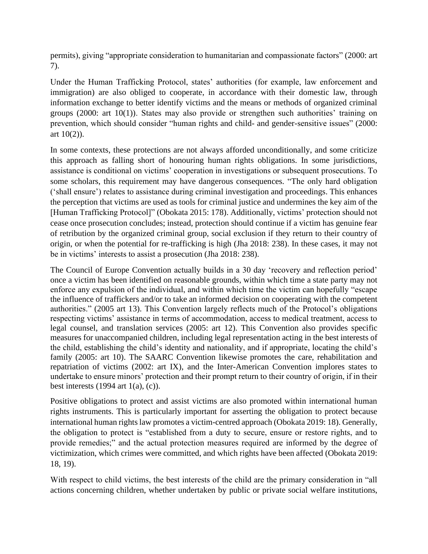permits), giving "appropriate consideration to humanitarian and compassionate factors" (2000: art 7).

Under the Human Trafficking Protocol, states' authorities (for example, law enforcement and immigration) are also obliged to cooperate, in accordance with their domestic law, through information exchange to better identify victims and the means or methods of organized criminal groups (2000: art 10(1)). States may also provide or strengthen such authorities' training on prevention, which should consider "human rights and child- and gender-sensitive issues" (2000: art  $10(2)$ ).

In some contexts, these protections are not always afforded unconditionally, and some criticize this approach as falling short of honouring human rights obligations. In some jurisdictions, assistance is conditional on victims' cooperation in investigations or subsequent prosecutions. To some scholars, this requirement may have dangerous consequences. "The only hard obligation ('shall ensure') relates to assistance during criminal investigation and proceedings. This enhances the perception that victims are used as tools for criminal justice and undermines the key aim of the [Human Trafficking Protocol]" (Obokata 2015: 178). Additionally, victims' protection should not cease once prosecution concludes; instead, protection should continue if a victim has genuine fear of retribution by the organized criminal group, social exclusion if they return to their country of origin, or when the potential for re-trafficking is high (Jha 2018: 238). In these cases, it may not be in victims' interests to assist a prosecution (Jha 2018: 238).

The Council of Europe Convention actually builds in a 30 day 'recovery and reflection period' once a victim has been identified on reasonable grounds, within which time a state party may not enforce any expulsion of the individual, and within which time the victim can hopefully "escape the influence of traffickers and/or to take an informed decision on cooperating with the competent authorities." (2005 art 13). This Convention largely reflects much of the Protocol's obligations respecting victims' assistance in terms of accommodation, access to medical treatment, access to legal counsel, and translation services (2005: art 12). This Convention also provides specific measures for unaccompanied children, including legal representation acting in the best interests of the child, establishing the child's identity and nationality, and if appropriate, locating the child's family (2005: art 10). The SAARC Convention likewise promotes the care, rehabilitation and repatriation of victims (2002: art IX), and the Inter-American Convention implores states to undertake to ensure minors' protection and their prompt return to their country of origin, if in their best interests  $(1994 \text{ art } 1(a), (c)).$ 

Positive obligations to protect and assist victims are also promoted within international human rights instruments. This is particularly important for asserting the obligation to protect because international human rights law promotes a victim-centred approach (Obokata 2019: 18). Generally, the obligation to protect is "established from a duty to secure, ensure or restore rights, and to provide remedies;" and the actual protection measures required are informed by the degree of victimization, which crimes were committed, and which rights have been affected (Obokata 2019: 18, 19).

With respect to child victims, the best interests of the child are the primary consideration in "all actions concerning children, whether undertaken by public or private social welfare institutions,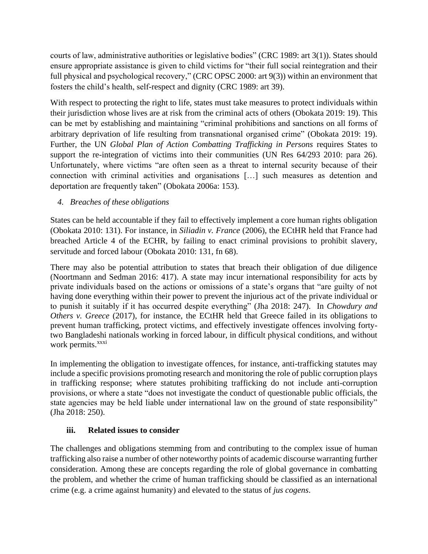courts of law, administrative authorities or legislative bodies" (CRC 1989: art 3(1)). States should ensure appropriate assistance is given to child victims for "their full social reintegration and their full physical and psychological recovery," (CRC OPSC 2000: art 9(3)) within an environment that fosters the child's health, self-respect and dignity (CRC 1989: art 39).

With respect to protecting the right to life, states must take measures to protect individuals within their jurisdiction whose lives are at risk from the criminal acts of others (Obokata 2019: 19). This can be met by establishing and maintaining "criminal prohibitions and sanctions on all forms of arbitrary deprivation of life resulting from transnational organised crime" (Obokata 2019: 19). Further, the UN *Global Plan of Action Combatting Trafficking in Persons* requires States to support the re-integration of victims into their communities (UN Res 64/293 2010: para 26). Unfortunately, where victims "are often seen as a threat to internal security because of their connection with criminal activities and organisations […] such measures as detention and deportation are frequently taken" (Obokata 2006a: 153).

## *4. Breaches of these obligations*

States can be held accountable if they fail to effectively implement a core human rights obligation (Obokata 2010: 131). For instance, in *Siliadin v. France* (2006), the ECtHR held that France had breached Article 4 of the ECHR, by failing to enact criminal provisions to prohibit slavery, servitude and forced labour (Obokata 2010: 131, fn 68).

There may also be potential attribution to states that breach their obligation of due diligence (Noortmann and Sedman 2016: 417). A state may incur international responsibility for acts by private individuals based on the actions or omissions of a state's organs that "are guilty of not having done everything within their power to prevent the injurious act of the private individual or to punish it suitably if it has occurred despite everything" (Jha 2018: 247). In *Chowdury and Others v. Greece* (2017), for instance, the ECtHR held that Greece failed in its obligations to prevent human trafficking, protect victims, and effectively investigate offences involving fortytwo Bangladeshi nationals working in forced labour, in difficult physical conditions, and without work permits.<sup>xxxi</sup>

In implementing the obligation to investigate offences, for instance, anti-trafficking statutes may include a specific provisions promoting research and monitoring the role of public corruption plays in trafficking response; where statutes prohibiting trafficking do not include anti-corruption provisions, or where a state "does not investigate the conduct of questionable public officials, the state agencies may be held liable under international law on the ground of state responsibility" (Jha 2018: 250).

## **iii. Related issues to consider**

The challenges and obligations stemming from and contributing to the complex issue of human trafficking also raise a number of other noteworthy points of academic discourse warranting further consideration. Among these are concepts regarding the role of global governance in combatting the problem, and whether the crime of human trafficking should be classified as an international crime (e.g. a crime against humanity) and elevated to the status of *jus cogens*.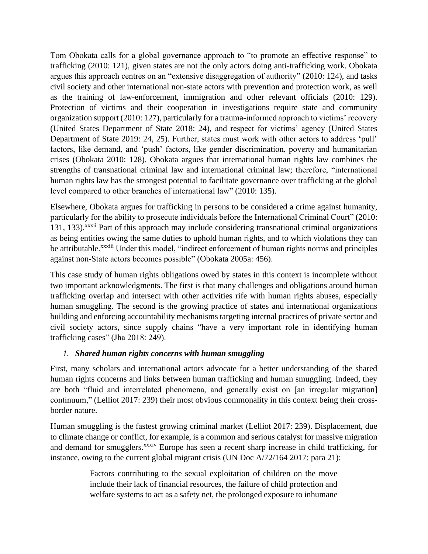Tom Obokata calls for a global governance approach to "to promote an effective response" to trafficking (2010: 121), given states are not the only actors doing anti-trafficking work. Obokata argues this approach centres on an "extensive disaggregation of authority" (2010: 124), and tasks civil society and other international non-state actors with prevention and protection work, as well as the training of law-enforcement, immigration and other relevant officials (2010: 129). Protection of victims and their cooperation in investigations require state and community organization support (2010: 127), particularly for a trauma-informed approach to victims' recovery (United States Department of State 2018: 24), and respect for victims' agency (United States Department of State 2019: 24, 25). Further, states must work with other actors to address 'pull' factors, like demand, and 'push' factors, like gender discrimination, poverty and humanitarian crises (Obokata 2010: 128). Obokata argues that international human rights law combines the strengths of transnational criminal law and international criminal law; therefore, "international human rights law has the strongest potential to facilitate governance over trafficking at the global level compared to other branches of international law" (2010: 135).

Elsewhere, Obokata argues for trafficking in persons to be considered a crime against humanity, particularly for the ability to prosecute individuals before the International Criminal Court" (2010: 131, 133).<sup>xxxii</sup> Part of this approach may include considering transnational criminal organizations as being entities owing the same duties to uphold human rights, and to which violations they can be attributable.<sup>xxxiii</sup> Under this model, "indirect enforcement of human rights norms and principles against non-State actors becomes possible" (Obokata 2005a: 456).

This case study of human rights obligations owed by states in this context is incomplete without two important acknowledgments. The first is that many challenges and obligations around human trafficking overlap and intersect with other activities rife with human rights abuses, especially human smuggling. The second is the growing practice of states and international organizations building and enforcing accountability mechanisms targeting internal practices of private sector and civil society actors, since supply chains "have a very important role in identifying human trafficking cases" (Jha 2018: 249).

## *1. Shared human rights concerns with human smuggling*

First, many scholars and international actors advocate for a better understanding of the shared human rights concerns and links between human trafficking and human smuggling. Indeed, they are both "fluid and interrelated phenomena, and generally exist on [an irregular migration] continuum," (Lelliot 2017: 239) their most obvious commonality in this context being their crossborder nature.

Human smuggling is the fastest growing criminal market (Lelliot 2017: 239). Displacement, due to climate change or conflict, for example, is a common and serious catalyst for massive migration and demand for smugglers.<sup>xxxiv</sup> Europe has seen a recent sharp increase in child trafficking, for instance, owing to the current global migrant crisis (UN Doc A/72/164 2017: para 21):

> Factors contributing to the sexual exploitation of children on the move include their lack of financial resources, the failure of child protection and welfare systems to act as a safety net, the prolonged exposure to inhumane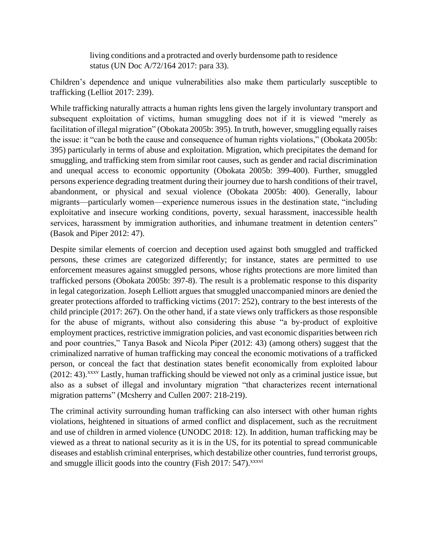living conditions and a protracted and overly burdensome path to residence status (UN Doc A/72/164 2017: para 33).

Children's dependence and unique vulnerabilities also make them particularly susceptible to trafficking (Lelliot 2017: 239).

While trafficking naturally attracts a human rights lens given the largely involuntary transport and subsequent exploitation of victims, human smuggling does not if it is viewed "merely as facilitation of illegal migration" (Obokata 2005b: 395). In truth, however, smuggling equally raises the issue: it "can be both the cause and consequence of human rights violations," (Obokata 2005b: 395) particularly in terms of abuse and exploitation. Migration, which precipitates the demand for smuggling, and trafficking stem from similar root causes, such as gender and racial discrimination and unequal access to economic opportunity (Obokata 2005b: 399-400). Further, smuggled persons experience degrading treatment during their journey due to harsh conditions of their travel, abandonment, or physical and sexual violence (Obokata 2005b: 400). Generally, labour migrants—particularly women—experience numerous issues in the destination state, "including exploitative and insecure working conditions, poverty, sexual harassment, inaccessible health services, harassment by immigration authorities, and inhumane treatment in detention centers" (Basok and Piper 2012: 47).

Despite similar elements of coercion and deception used against both smuggled and trafficked persons, these crimes are categorized differently; for instance, states are permitted to use enforcement measures against smuggled persons, whose rights protections are more limited than trafficked persons (Obokata 2005b: 397-8). The result is a problematic response to this disparity in legal categorization. Joseph Lelliott argues that smuggled unaccompanied minors are denied the greater protections afforded to trafficking victims (2017: 252), contrary to the best interests of the child principle (2017: 267). On the other hand, if a state views only traffickers as those responsible for the abuse of migrants, without also considering this abuse "a by-product of exploitive employment practices, restrictive immigration policies, and vast economic disparities between rich and poor countries," Tanya Basok and Nicola Piper (2012: 43) (among others) suggest that the criminalized narrative of human trafficking may conceal the economic motivations of a trafficked person, or conceal the fact that destination states benefit economically from exploited labour (2012: 43). xxxv Lastly, human trafficking should be viewed not only as a criminal justice issue, but also as a subset of illegal and involuntary migration "that characterizes recent international migration patterns" (Mcsherry and Cullen 2007: 218-219).

The criminal activity surrounding human trafficking can also intersect with other human rights violations, heightened in situations of armed conflict and displacement, such as the recruitment and use of children in armed violence (UNODC 2018: 12). In addition, human trafficking may be viewed as a threat to national security as it is in the US, for its potential to spread communicable diseases and establish criminal enterprises, which destabilize other countries, fund terrorist groups, and smuggle illicit goods into the country (Fish 2017: 547).<sup>xxxvi</sup>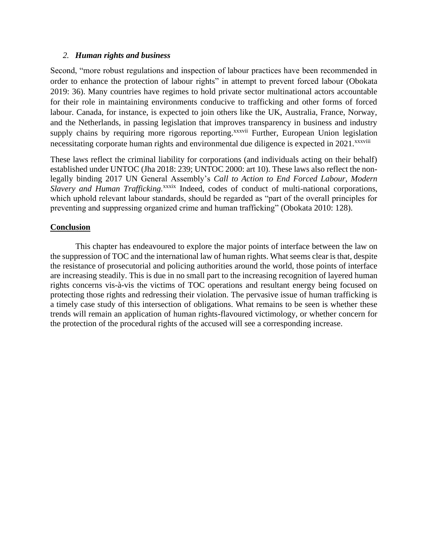#### *2. Human rights and business*

Second, "more robust regulations and inspection of labour practices have been recommended in order to enhance the protection of labour rights" in attempt to prevent forced labour (Obokata 2019: 36). Many countries have regimes to hold private sector multinational actors accountable for their role in maintaining environments conducive to trafficking and other forms of forced labour. Canada, for instance, is expected to join others like the UK, Australia, France, Norway, and the Netherlands, in passing legislation that improves transparency in business and industry supply chains by requiring more rigorous reporting.<sup>xxxvii</sup> Further, European Union legislation necessitating corporate human rights and environmental due diligence is expected in 2021.<sup>xxxviii</sup>

These laws reflect the criminal liability for corporations (and individuals acting on their behalf) established under UNTOC (Jha 2018: 239; UNTOC 2000: art 10). These laws also reflect the nonlegally binding 2017 UN General Assembly's *Call to Action to End Forced Labour, Modern Slavery and Human Trafficking.<sup>xxxix</sup>* Indeed, codes of conduct of multi-national corporations, which uphold relevant labour standards, should be regarded as "part of the overall principles for preventing and suppressing organized crime and human trafficking" (Obokata 2010: 128).

## **Conclusion**

This chapter has endeavoured to explore the major points of interface between the law on the suppression of TOC and the international law of human rights. What seems clear is that, despite the resistance of prosecutorial and policing authorities around the world, those points of interface are increasing steadily. This is due in no small part to the increasing recognition of layered human rights concerns vis-à-vis the victims of TOC operations and resultant energy being focused on protecting those rights and redressing their violation. The pervasive issue of human trafficking is a timely case study of this intersection of obligations. What remains to be seen is whether these trends will remain an application of human rights-flavoured victimology, or whether concern for the protection of the procedural rights of the accused will see a corresponding increase.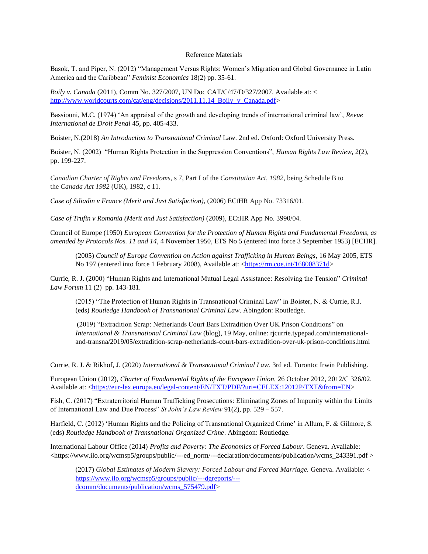#### Reference Materials

Basok, T. and Piper, N. (2012) "Management Versus Rights: Women's Migration and Global Governance in Latin America and the Caribbean" *Feminist Economics* 18(2) pp. 35-61.

*Boily v. Canada* (2011), Comm No. 327/2007, UN Doc CAT/C/47/D/327/2007. Available at: < [http://www.worldcourts.com/cat/eng/decisions/2011.11.14\\_Boily\\_v\\_Canada.pdf>](http://www.worldcourts.com/cat/eng/decisions/2011.11.14_Boily_v_Canada.pdf)

Bassiouni, M.C. (1974) 'An appraisal of the growth and developing trends of international criminal law', *Revue International de Droit Penal* 45, pp. 405-433.

Boister, N.(2018) *An Introduction to Transnational Criminal* Law. 2nd ed. Oxford: Oxford University Press.

Boister, N. (2002) "Human Rights Protection in the Suppression Conventions", *Human Rights Law Review,* 2(2), pp. 199-227.

*Canadian Charter of Rights and Freedoms*, s 7, Part I of the *Constitution Act, 1982*, being Schedule B to the *Canada Act 1982* (UK), 1982, c 11.

*Case of Siliadin v France (Merit and Just Satisfaction)*, (2006) ECtHR App No. 73316/01.

*Case of Trufin v Romania (Merit and Just Satisfaction)* (2009), ECtHR App No. 3990/04.

Council of Europe (1950) *European Convention for the Protection of Human Rights and Fundamental Freedoms, as amended by Protocols Nos. 11 and 14,* 4 November 1950, ETS No 5 (entered into force 3 September 1953) [ECHR].

(2005) *Council of Europe Convention on Action against Trafficking in Human Beings*, 16 May 2005, ETS No 197 (entered into force 1 February 2008), Available at: [<https://rm.coe.int/168008371d>](https://rm.coe.int/168008371d)

Currie, R. J. (2000) "Human Rights and International Mutual Legal Assistance: Resolving the Tension" *Criminal Law Forum* 11 (2) pp. 143-181.

(2015) "The Protection of Human Rights in Transnational Criminal Law" in Boister, N. & Currie, R.J. (eds) *Routledge Handbook of Transnational Criminal Law*. Abingdon: Routledge.

(2019) "Extradition Scrap: Netherlands Court Bars Extradition Over UK Prison Conditions" on *International & Transnational Criminal Law* (blog), 19 May, online: rjcurrie.typepad.com/internationaland-transna/2019/05/extradition-scrap-netherlands-court-bars-extradition-over-uk-prison-conditions.html

Currie, R. J. & Rikhof, J. (2020) *International & Transnational Criminal Law*. 3rd ed. Toronto: Irwin Publishing.

European Union (2012), *Charter of Fundamental Rights of the European Union,* 26 October 2012, 2012/C 326/02. Available at: [<https://eur-lex.europa.eu/legal-content/EN/TXT/PDF/?uri=CELEX:12012P/TXT&from=EN>](https://eur-lex.europa.eu/legal-content/EN/TXT/PDF/?uri=CELEX:12012P/TXT&from=EN)

Fish, C. (2017) "Extraterritorial Human Trafficking Prosecutions: Eliminating Zones of Impunity within the Limits of International Law and Due Process" *St John's Law Review* 91(2), pp. 529 – 557.

Harfield, C. (2012) 'Human Rights and the Policing of Transnational Organized Crime' in Allum, F. & Gilmore, S. (eds) *Routledge Handbook of Transnational Organized Crime*. Abingdon: Routledge.

International Labour Office (2014) *Profits and Poverty: The Economics of Forced Labour*. Geneva. Available:  $\lt$ https://www.ilo.org/wcmsp5/groups/public/---ed\_norm/---declaration/documents/publication/wcms\_243391.pdf >

(2017) *Global Estimates of Modern Slavery: Forced Labour and Forced Marriage.* Geneva. Available: < [https://www.ilo.org/wcmsp5/groups/public/---dgreports/--](https://www.ilo.org/wcmsp5/groups/public/---dgreports/---dcomm/documents/publication/wcms_575479.pdf) [dcomm/documents/publication/wcms\\_575479.pdf>](https://www.ilo.org/wcmsp5/groups/public/---dgreports/---dcomm/documents/publication/wcms_575479.pdf)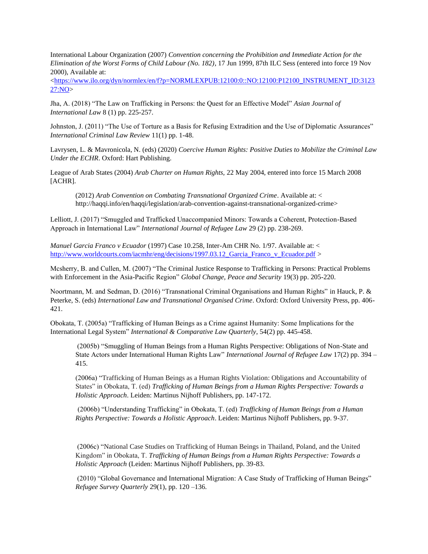International Labour Organization (2007) *Convention concerning the Prohibition and Immediate Action for the Elimination of the Worst Forms of Child Labour (No. 182)*, 17 Jun 1999, 87th ILC Sess (entered into force 19 Nov 2000), Available at:

 $\lt$ https://www.ilo.org/dyn/normlex/en/f?p=NORMLEXPUB:12100:0::NO:12100:P12100\_INSTRUMENT\_ID:3123 [27:NO>](https://www.ilo.org/dyn/normlex/en/f?p=NORMLEXPUB:12100:0::NO:12100:P12100_INSTRUMENT_ID:312327:NO)

Jha, A. (2018) "The Law on Trafficking in Persons: the Quest for an Effective Model" *Asian Journal of International Law* 8 (1) pp. 225-257.

Johnston, J. (2011) "The Use of Torture as a Basis for Refusing Extradition and the Use of Diplomatic Assurances" *International Criminal Law Review* 11(1) pp. 1-48.

Lavrysen, L. & Mavronicola, N. (eds) (2020) *Coercive Human Rights: Positive Duties to Mobilize the Criminal Law Under the ECHR*. Oxford: Hart Publishing.

League of Arab States (2004) *Arab Charter on Human Rights,* 22 May 2004, entered into force 15 March 2008 [ACHR].

(2012) *Arab Convention on Combating Transnational Organized Crime*. Available at: < http://haqqi.info/en/haqqi/legislation/arab-convention-against-transnational-organized-crime>

Lelliott, J. (2017) "Smuggled and Trafficked Unaccompanied Minors: Towards a Coherent, Protection-Based Approach in International Law" *International Journal of Refugee Law* 29 (2) pp. 238-269.

*Manuel Garcia Franco v Ecuador* (1997) Case 10.258, Inter-Am CHR No. 1/97. Available at: < [http://www.worldcourts.com/iacmhr/eng/decisions/1997.03.12\\_Garcia\\_Franco\\_v\\_Ecuador.pdf](http://www.worldcourts.com/iacmhr/eng/decisions/1997.03.12_Garcia_Franco_v_Ecuador.pdf) >

Mcsherry, B. and Cullen, M. (2007) "The Criminal Justice Response to Trafficking in Persons: Practical Problems with Enforcement in the Asia-Pacific Region" *Global Change, Peace and Security* 19(3) pp. 205-220.

Noortmann, M. and Sedman, D. (2016) "Transnational Criminal Organisations and Human Rights" in Hauck, P. & Peterke, S. (eds) *International Law and Transnational Organised Crime*. Oxford: Oxford University Press, pp. 406- 421.

Obokata, T. (2005a) "Trafficking of Human Beings as a Crime against Humanity: Some Implications for the International Legal System" *International & Comparative Law Quarterly*, 54(2) pp. 445-458.

(2005b) "Smuggling of Human Beings from a Human Rights Perspective: Obligations of Non-State and State Actors under International Human Rights Law" *International Journal of Refugee Law* 17(2) pp. 394 – 415.

(2006a) "Trafficking of Human Beings as a Human Rights Violation: Obligations and Accountability of States" in Obokata, T. (ed) *Trafficking of Human Beings from a Human Rights Perspective: Towards a Holistic Approach*. Leiden: Martinus Nijhoff Publishers, pp. 147-172.

(2006b) "Understanding Trafficking" in Obokata, T. (ed) *Trafficking of Human Beings from a Human Rights Perspective: Towards a Holistic Approach*. Leiden: Martinus Nijhoff Publishers, pp. 9-37.

(2006c) "National Case Studies on Trafficking of Human Beings in Thailand, Poland, and the United Kingdom" in Obokata, T. *Trafficking of Human Beings from a Human Rights Perspective: Towards a Holistic Approach* (Leiden: Martinus Nijhoff Publishers, pp. 39-83.

(2010) "Global Governance and International Migration: A Case Study of Trafficking of Human Beings" *Refugee Survey Quarterly* 29(1), pp. 120 –136.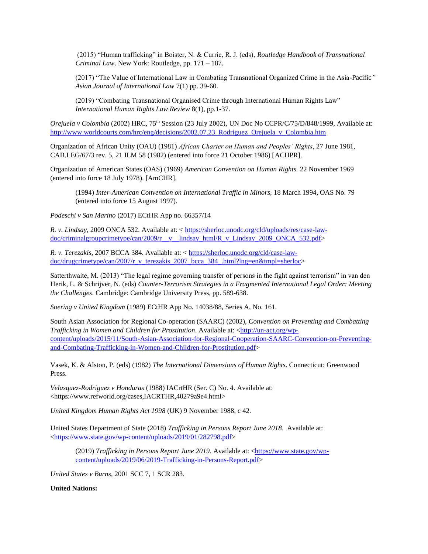(2015) "Human trafficking" in Boister, N. & Currie, R. J. (eds), *Routledge Handbook of Transnational Criminal Law*. New York: Routledge, pp. 171 – 187.

(2017) "The Value of International Law in Combating Transnational Organized Crime in the Asia-Pacific*" Asian Journal of International Law* 7(1) pp. 39-60.

(2019) "Combating Transnational Organised Crime through International Human Rights Law" *International Human Rights Law Review* 8(1), pp.1-37.

*Orejuela v Colombia* (2002) HRC, 75th Session (23 July 2002), UN Doc No CCPR/C/75/D/848/1999, Available at: [http://www.worldcourts.com/hrc/eng/decisions/2002.07.23\\_Rodriguez\\_Orejuela\\_v\\_Colombia.htm](http://www.worldcourts.com/hrc/eng/decisions/2002.07.23_Rodriguez_Orejuela_v_Colombia.htm) 

Organization of African Unity (OAU) (1981) *African Charter on Human and Peoples' Rights*, 27 June 1981, CAB.LEG/67/3 rev. 5, 21 ILM 58 (1982) (entered into force 21 October 1986) [ACHPR].

Organization of American States (OAS) (1969) *American Convention on Human Rights.* 22 November 1969 (entered into force 18 July 1978). [AmCHR].

(1994) *Inter-American Convention on International Traffic in Minors,* 18 March 1994, OAS No. 79 (entered into force 15 August 1997).

*Podeschi v San Marino* (2017) ECtHR App no. 66357/14

*R. v. Lindsay*, 2009 ONCA 532. Available at: < [https://sherloc.unodc.org/cld/uploads/res/case-law](https://sherloc.unodc.org/cld/uploads/res/case-law-doc/criminalgroupcrimetype/can/2009/r__v__lindsay_html/R_v_Lindsay_2009_ONCA_532.pdf)[doc/criminalgroupcrimetype/can/2009/r\\_\\_v\\_\\_lindsay\\_html/R\\_v\\_Lindsay\\_2009\\_ONCA\\_532.pdf>](https://sherloc.unodc.org/cld/uploads/res/case-law-doc/criminalgroupcrimetype/can/2009/r__v__lindsay_html/R_v_Lindsay_2009_ONCA_532.pdf)

*R. v. Terezakis*, 2007 BCCA 384. Available at: < [https://sherloc.unodc.org/cld/case-law](https://sherloc.unodc.org/cld/case-law-doc/drugcrimetype/can/2007/r_v_terezakis_2007_bcca_384_.html?lng=en&tmpl=sherloc)[doc/drugcrimetype/can/2007/r\\_v\\_terezakis\\_2007\\_bcca\\_384\\_.html?lng=en&tmpl=sherloc>](https://sherloc.unodc.org/cld/case-law-doc/drugcrimetype/can/2007/r_v_terezakis_2007_bcca_384_.html?lng=en&tmpl=sherloc)

Satterthwaite, M. (2013) "The legal regime governing transfer of persons in the fight against terrorism" in van den Herik, L. & Schrijver, N. (eds) *Counter-Terrorism Strategies in a Fragmented International Legal Order: Meeting the Challenges*. Cambridge: Cambridge University Press, pp. 589-638.

*Soering v United Kingdom* (1989) ECtHR App No. 14038/88, Series A, No. 161.

South Asian Association for Regional Co-operation (SAARC) (2002), *Convention on Preventing and Combatting Trafficking in Women and Children for Prostitution*. Available at: [<http://un-act.org/wp](http://un-act.org/wp-content/uploads/2015/11/South-Asian-Association-for-Regional-Cooperation-SAARC-Convention-on-Preventing-and-Combating-Trafficking-in-Women-and-Children-for-Prostitution.pdf)[content/uploads/2015/11/South-Asian-Association-for-Regional-Cooperation-SAARC-Convention-on-Preventing](http://un-act.org/wp-content/uploads/2015/11/South-Asian-Association-for-Regional-Cooperation-SAARC-Convention-on-Preventing-and-Combating-Trafficking-in-Women-and-Children-for-Prostitution.pdf)[and-Combating-Trafficking-in-Women-and-Children-for-Prostitution.pdf>](http://un-act.org/wp-content/uploads/2015/11/South-Asian-Association-for-Regional-Cooperation-SAARC-Convention-on-Preventing-and-Combating-Trafficking-in-Women-and-Children-for-Prostitution.pdf)

Vasek, K. & Alston, P. (eds) (1982) *The International Dimensions of Human Rights*. Connecticut: Greenwood Press.

*Velasquez-Rodriguez v Honduras* (1988) IACrtHR (Ser. C) No. 4. Available at: <https://www.refworld.org/cases,IACRTHR,40279a9e4.html>

*United Kingdom Human Rights Act 1998* (UK) 9 November 1988, c 42.

United States Department of State (2018) *Trafficking in Persons Report June 2018*. Available at: [<https://www.state.gov/wp-content/uploads/2019/01/282798.pdf>](https://www.state.gov/wp-content/uploads/2019/01/282798.pdf)

(2019) *Trafficking in Persons Report June 2019.* Available at: [<https://www.state.gov/wp](https://www.state.gov/wp-content/uploads/2019/06/2019-Trafficking-in-Persons-Report.pdf)[content/uploads/2019/06/2019-Trafficking-in-Persons-Report.pdf>](https://www.state.gov/wp-content/uploads/2019/06/2019-Trafficking-in-Persons-Report.pdf)

*United States v Burns,* 2001 SCC 7, 1 SCR 283.

**United Nations:**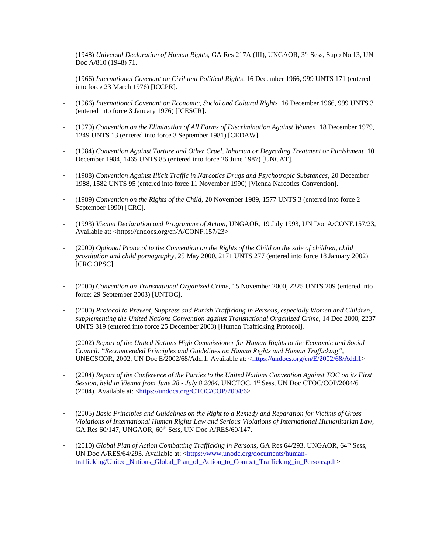- (1948) *Universal Declaration of Human Rights,* GA Res 217A (III), UNGAOR, 3rd Sess, Supp No 13, UN Doc A/810 (1948) 71.
- (1966) *International Covenant on Civil and Political Rights*, 16 December 1966, 999 UNTS 171 (entered into force 23 March 1976) [ICCPR].
- (1966) *International Covenant on Economic, Social and Cultural Rights*, 16 December 1966, 999 UNTS 3 (entered into force 3 January 1976) [ICESCR].
- (1979) *Convention on the Elimination of All Forms of Discrimination Against Women*, 18 December 1979, 1249 UNTS 13 (entered into force 3 September 1981) [CEDAW].
- (1984) *Convention Against Torture and Other Cruel, Inhuman or Degrading Treatment or Punishment*, 10 December 1984, 1465 UNTS 85 (entered into force 26 June 1987) [UNCAT].
- (1988) *Convention Against Illicit Traffic in Narcotics Drugs and Psychotropic Substances*, 20 December 1988, 1582 UNTS 95 (entered into force 11 November 1990) [Vienna Narcotics Convention].
- (1989) *Convention on the Rights of the Child*, 20 November 1989, 1577 UNTS 3 (entered into force 2 September 1990) [CRC].
- (1993) *Vienna Declaration and Programme of Action,* UNGAOR, 19 July 1993, UN Doc A/CONF.157/23, Available at: <https://undocs.org/en/A/CONF.157/23>
- (2000) *Optional Protocol to the Convention on the Rights of the Child on the sale of children, child prostitution and child pornography,* 25 May 2000, 2171 UNTS 277 (entered into force 18 January 2002) [CRC OPSC].
- (2000) *Convention on Transnational Organized Crime,* 15 November 2000, 2225 UNTS 209 (entered into force: 29 September 2003) [UNTOC].
- (2000) *Protocol to Prevent, Suppress and Punish Trafficking in Persons, especially Women and Children*, *supplementing the United Nations Convention against Transnational Organized Crime,* 14 Dec 2000, 2237 UNTS 319 (entered into force 25 December 2003) [Human Trafficking Protocol].
- (2002) *Report of the United Nations High Commissioner for Human Rights to the Economic and Social Council:* "*Recommended Principles and Guidelines on Human Rights and Human Trafficking"*, UNECSCOR, 2002, UN Doc E/2002/68/Add.1. Available at: [<https://undocs.org/en/E/2002/68/Add.1>](https://undocs.org/en/E/2002/68/Add.1)
- (2004) *Report of the Conference of the Parties to the United Nations Convention Against TOC on its First Session*, *held in Vienna from June 28 - July 8 2004*. UNCTOC, 1st Sess, UN Doc CTOC/COP/2004/6 (2004). Available at: [<https://undocs.org/CTOC/COP/2004/6>](https://undocs.org/CTOC/COP/2004/6)
- (2005) *Basic Principles and Guidelines on the Right to a Remedy and Reparation for Victims of Gross Violations of International Human Rights Law and Serious Violations of International Humanitarian Law*, GA Res 60/147, UNGAOR, 60<sup>th</sup> Sess, UN Doc A/RES/60/147.
- (2010) *Global Plan of Action Combatting Trafficking in Persons*, GA Res 64/293, UNGAOR, 64th Sess, UN Doc A/RES/64/293. Available at: [<https://www.unodc.org/documents/human](https://www.unodc.org/documents/human-trafficking/United_Nations_Global_Plan_of_Action_to_Combat_Trafficking_in_Persons.pdf)trafficking/United Nations Global Plan of Action to Combat Trafficking in Persons.pdf>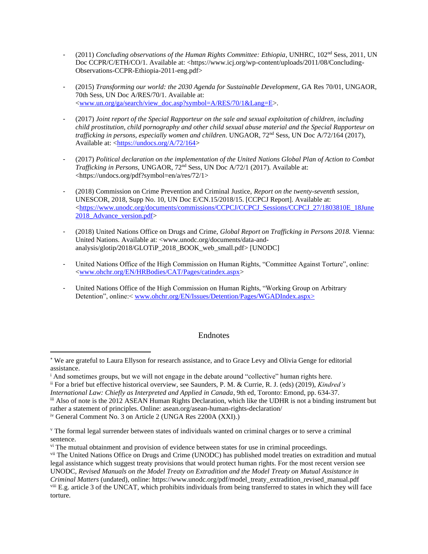- (2011) *Concluding observations of the Human Rights Committee: Ethiopia*, UNHRC, 102nd Sess, 2011, UN Doc CCPR/C/ETH/CO/1. Available at: <https://www.icj.org/wp-content/uploads/2011/08/Concluding-Observations-CCPR-Ethiopia-2011-eng.pdf>
- (2015) *Transforming our world: the 2030 Agenda for Sustainable Development*, GA Res 70/01, UNGAOR, 70th Sess, UN Doc A/RES/70/1. Available at: [<www.un.org/ga/search/view\\_doc.asp?symbol=A/RES/70/1&Lang=E>](http://www.un.org/ga/search/view_doc.asp?symbol=A/RES/70/1&Lang=E).
- (2017) *Joint report of the Special Rapporteur on the sale and sexual exploitation of children, including child prostitution, child pornography and other child sexual abuse material and the Special Rapporteur on trafficking in persons, especially women and children*. UNGAOR, 72nd Sess, UN Doc A/72/164 (2017), Available at: [<https://undocs.org/A/72/164>](https://undocs.org/A/72/164)
- (2017) *Political declaration on the implementation of the United Nations Global Plan of Action to Combat Trafficking in Persons,* UNGAOR, 72nd Sess, UN Doc A/72/1 (2017). Available at: <https://undocs.org/pdf?symbol=en/a/res/72/1>
- (2018) Commission on Crime Prevention and Criminal Justice, *Report on the twenty-seventh session*, UNESCOR, 2018, Supp No. 10, UN Doc E/CN.15/2018/15. [CCPCJ Report]. Available at: [<https://www.unodc.org/documents/commissions/CCPCJ/CCPCJ\\_Sessions/CCPCJ\\_27/1803810E\\_18June](https://www.unodc.org/documents/commissions/CCPCJ/CCPCJ_Sessions/CCPCJ_27/1803810E_18June2018_Advance_version.pdf) 2018 Advance version.pdf>
- (2018) United Nations Office on Drugs and Crime, *Global Report on Trafficking in Persons 2018.* Vienna: United Nations. Available at: [<www.unodc.org/documents/data-and](https://www.unodc.org/documents/data-and-analysis/glotip/2018/GLOTiP_2018_BOOK_web_small.pdf)[analysis/glotip/2018/GLOTiP\\_2018\\_BOOK\\_web\\_small.pdf>](https://www.unodc.org/documents/data-and-analysis/glotip/2018/GLOTiP_2018_BOOK_web_small.pdf) [UNODC]
- United Nations Office of the High Commission on Human Rights, "Committee Against Torture", online: [<www.ohchr.org/EN/HRBodies/CAT/Pages/catindex.aspx>](http://www.ohchr.org/EN/HRBodies/CAT/Pages/catindex.aspx)
- United Nations Office of the High Commission on Human Rights, "Working Group on Arbitrary Detention", online:< [www.ohchr.org/EN/Issues/Detention/Pages/WGADIndex.aspx>](http://www.ohchr.org/EN/Issues/Detention/Pages/WGADIndex.aspx)

#### Endnotes

We are grateful to Laura Ellyson for research assistance, and to Grace Levy and Olivia Genge for editorial assistance.

<sup>&</sup>lt;sup>i</sup> And sometimes groups, but we will not engage in the debate around "collective" human rights here.

ii For a brief but effective historical overview, see Saunders, P. M. & Currie, R. J. (eds) (2019), *Kindred's* 

*International Law: Chiefly as Interpreted and Applied in Canada*, 9th ed, Toronto: Emond, pp. 634-37.

iii Also of note is the 2012 ASEAN Human Rights Declaration, which like the UDHR is not a binding instrument but rather a statement of principles. Online: asean.org/asean-human-rights-declaration/

iv General Comment No. 3 on Article 2 (UNGA Res 2200A (XXI).)

<sup>v</sup> The formal legal surrender between states of individuals wanted on criminal charges or to serve a criminal sentence.

vi The mutual obtainment and provision of evidence between states for use in criminal proceedings.

vii The United Nations Office on Drugs and Crime (UNODC) has published model treaties on extradition and mutual legal assistance which suggest treaty provisions that would protect human rights. For the most recent version see UNODC, *Revised Manuals on the Model Treaty on Extradition and the Model Treaty on Mutual Assistance in Criminal Matters* (undated), online: https://www.unodc.org/pdf/model\_treaty\_extradition\_revised\_manual.pdf  $v^{iii}$  E.g. article 3 of the UNCAT, which prohibits individuals from being transferred to states in which they will face torture.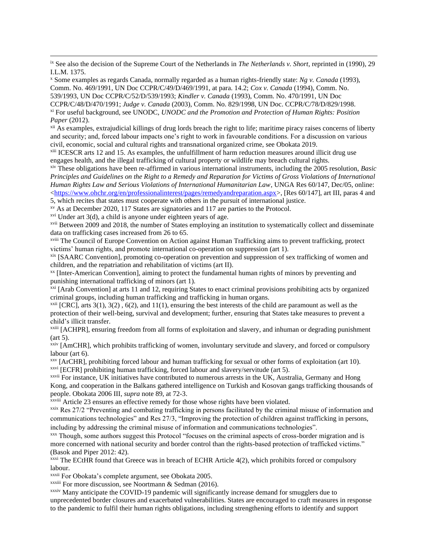ix See also the decision of the Supreme Court of the Netherlands in *The Netherlands v. Short*, reprinted in (1990), 29 I.L.M. 1375.

<sup>x</sup> Some examples as regards Canada, normally regarded as a human rights-friendly state: *Ng v. Canada* (1993), Comm. No. 469/1991, UN Doc CCPR/C/49/D/469/1991, at para. 14.2; *Cox v. Canada* (1994), Comm. No. 539/1993, UN Doc CCPR/C/52/D/539/1993; *Kindler v. Canada* (1993), Comm. No. 470/1991, UN Doc CCPR/C/48/D/470/1991; *Judge v. Canada* (2003), Comm. No. 829/1998, UN Doc. CCPR/C/78/D/829/1998. xi For useful background, see UNODC, *UNODC and the Promotion and Protection of Human Rights: Position Paper* (2012).

xii As examples, extrajudicial killings of drug lords breach the right to life; maritime piracy raises concerns of liberty and security; and, forced labour impacts one's right to work in favourable conditions. For a discussion on various civil, economic, social and cultural rights and transnational organized crime, see Obokata 2019.

xiii ICESCR arts 12 and 15. As examples, the unfulfillment of harm reduction measures around illicit drug use engages health, and the illegal trafficking of cultural property or wildlife may breach cultural rights.

xiv These obligations have been re-affirmed in various international instruments, including the 2005 resolution, *Basic Principles and Guidelines on the Right to a Remedy and Reparation for Victims of Gross Violations of International Human Rights Law and Serious Violations of International Humanitarian Law*, UNGA Res 60/147, Dec/05, online: [<https://www.ohchr.org/en/professionalinterest/pages/remedyandreparation.aspx>](https://www.ohchr.org/en/professionalinterest/pages/remedyandreparation.aspx), [Res 60/147], art III, paras 4 and 5, which recites that states must cooperate with others in the pursuit of international justice.

xv As at December 2020, 117 States are signatories and 117 are parties to the Protocol.

xvi Under art 3(d), a child is anyone under eighteen years of age.

xvii Between 2009 and 2018, the number of States employing an institution to systematically collect and disseminate data on trafficking cases increased from 26 to 65.

xviii The Council of Europe Convention on Action against Human Trafficking aims to prevent trafficking, protect victims' human rights, and promote international co-operation on suppression (art 1).

xix [SAARC Convention], promoting co-operation on prevention and suppression of sex trafficking of women and children, and the repatriation and rehabilitation of victims (art II).

xx [Inter-American Convention], aiming to protect the fundamental human rights of minors by preventing and punishing international trafficking of minors (art 1).

xxi [Arab Convention] at arts 11 and 12, requiring States to enact criminal provisions prohibiting acts by organized criminal groups, including human trafficking and trafficking in human organs.

<sup>xxii</sup> [CRC], arts  $3(1)$ ,  $3(2)$ ,  $6(2)$ , and  $11(1)$ , ensuring the best interests of the child are paramount as well as the protection of their well-being, survival and development; further, ensuring that States take measures to prevent a child's illicit transfer.

xxiii [ACHPR], ensuring freedom from all forms of exploitation and slavery, and inhuman or degrading punishment (art 5).

xxiv [AmCHR], which prohibits trafficking of women, involuntary servitude and slavery, and forced or compulsory labour (art 6).

xxv [ArCHR], prohibiting forced labour and human trafficking for sexual or other forms of exploitation (art 10). xxvi [ECFR] prohibiting human trafficking, forced labour and slavery/servitude (art 5).

xxvii For instance, UK initiatives have contributed to numerous arrests in the UK, Australia, Germany and Hong Kong, and cooperation in the Balkans gathered intelligence on Turkish and Kosovan gangs trafficking thousands of people. Obokata 2006 III, *supra* note 89, at 72-3.

xxviii Article 23 ensures an effective remedy for those whose rights have been violated.

xxix Res 27/2 "Preventing and combating trafficking in persons facilitated by the criminal misuse of information and communications technologies" and Res 27/3, "Improving the protection of children against trafficking in persons, including by addressing the criminal misuse of information and communications technologies".

xxx Though, some authors suggest this Protocol "focuses on the criminal aspects of cross-border migration and is more concerned with national security and border control than the rights-based protection of trafficked victims." (Basok and Piper 2012: 42).

xxxi The ECtHR found that Greece was in breach of ECHR Article 4(2), which prohibits forced or compulsory labour.

xxxii For Obokata's complete argument, see Obokata 2005.

xxxiii For more discussion, see Noortmann & Sedman (2016).

xxxiv Many anticipate the COVID-19 pandemic will significantly increase demand for smugglers due to unprecedented border closures and exacerbated vulnerabilities. States are encouraged to craft measures in response to the pandemic to fulfil their human rights obligations, including strengthening efforts to identify and support